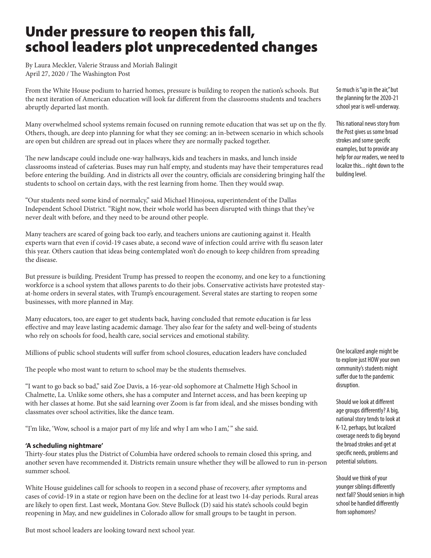## Under pressure to reopen this fall, school leaders plot unprecedented changes

By Laura Meckler, Valerie Strauss and Moriah Balingit April 27, 2020 / The Washington Post

From the White House podium to harried homes, pressure is building to reopen the nation's schools. But the next iteration of American education will look far different from the classrooms students and teachers abruptly departed last month.

Many overwhelmed school systems remain focused on running remote education that was set up on the fly. Others, though, are deep into planning for what they see coming: an in-between scenario in which schools are open but children are spread out in places where they are normally packed together.

The new landscape could include one-way hallways, kids and teachers in masks, and lunch inside classrooms instead of cafeterias. Buses may run half empty, and students may have their temperatures read before entering the building. And in districts all over the country, officials are considering bringing half the students to school on certain days, with the rest learning from home. Then they would swap.

"Our students need some kind of normalcy," said Michael Hinojosa, superintendent of the Dallas Independent School District. "Right now, their whole world has been disrupted with things that they've never dealt with before, and they need to be around other people.

Many teachers are scared of going back too early, and teachers unions are cautioning against it. Health experts warn that even if covid-19 cases abate, a second wave of infection could arrive with flu season later this year. Others caution that ideas being contemplated won't do enough to keep children from spreading the disease.

But pressure is building. President Trump has pressed to reopen the economy, and one key to a functioning workforce is a school system that allows parents to do their jobs. Conservative activists have protested stayat-home orders in several states, with Trump's encouragement. Several states are starting to reopen some businesses, with more planned in May.

Many educators, too, are eager to get students back, having concluded that remote education is far less effective and may leave lasting academic damage. They also fear for the safety and well-being of students who rely on schools for food, health care, social services and emotional stability.

Millions of public school students will suffer from school closures, education leaders have concluded

The people who most want to return to school may be the students themselves.

"I want to go back so bad," said Zoe Davis, a 16-year-old sophomore at Chalmette High School in Chalmette, La. Unlike some others, she has a computer and Internet access, and has been keeping up with her classes at home. But she said learning over Zoom is far from ideal, and she misses bonding with classmates over school activities, like the dance team.

"I'm like, 'Wow, school is a major part of my life and why I am who I am,' " she said.

## **'A scheduling nightmare'**

Thirty-four states plus the District of Columbia have ordered schools to remain closed this spring, and another seven have recommended it. Districts remain unsure whether they will be allowed to run in-person summer school.

White House guidelines call for schools to reopen in a second phase of recovery, after symptoms and cases of covid-19 in a state or region have been on the decline for at least two 14-day periods. Rural areas are likely to open first. Last week, Montana Gov. Steve Bullock (D) said his state's schools could begin reopening in May, and new guidelines in Colorado allow for small groups to be taught in person.

But most school leaders are looking toward next school year.

So much is "up in the air," but the planning for the 2020-21 school year is well-underway.

This national news story from the Post gives us some broad strokes and some specific examples, but to provide any help for *our* readers, we need to localize this... right down to the building level.

One localized angle might be to explore just HOW your own community's students might suffer due to the pandemic disruption.

Should we look at different age groups differently? A big, national story tends to look at K-12, perhaps, but localized coverage needs to dig beyond the broad strokes and get at specific needs, problems and potential solutions.

Should we think of your younger siblings differently next fall? Should seniors in high school be handled differently from sophomores?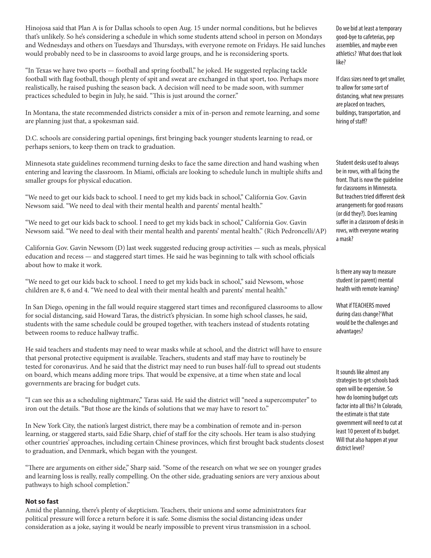Hinojosa said that Plan A is for Dallas schools to open Aug. 15 under normal conditions, but he believes that's unlikely. So he's considering a schedule in which some students attend school in person on Mondays and Wednesdays and others on Tuesdays and Thursdays, with everyone remote on Fridays. He said lunches would probably need to be in classrooms to avoid large groups, and he is reconsidering sports.

"In Texas we have two sports — football and spring football," he joked. He suggested replacing tackle football with flag football, though plenty of spit and sweat are exchanged in that sport, too. Perhaps more realistically, he raised pushing the season back. A decision will need to be made soon, with summer practices scheduled to begin in July, he said. "This is just around the corner."

In Montana, the state recommended districts consider a mix of in-person and remote learning, and some are planning just that, a spokesman said.

D.C. schools are considering partial openings, first bringing back younger students learning to read, or perhaps seniors, to keep them on track to graduation.

Minnesota state guidelines recommend turning desks to face the same direction and hand washing when entering and leaving the classroom. In Miami, officials are looking to schedule lunch in multiple shifts and smaller groups for physical education.

"We need to get our kids back to school. I need to get my kids back in school," California Gov. Gavin Newsom said. "We need to deal with their mental health and parents' mental health."

"We need to get our kids back to school. I need to get my kids back in school," California Gov. Gavin Newsom said. "We need to deal with their mental health and parents' mental health." (Rich Pedroncelli/AP)

California Gov. Gavin Newsom (D) last week suggested reducing group activities — such as meals, physical education and recess — and staggered start times. He said he was beginning to talk with school officials about how to make it work.

"We need to get our kids back to school. I need to get my kids back in school," said Newsom, whose children are 8, 6 and 4. "We need to deal with their mental health and parents' mental health."

In San Diego, opening in the fall would require staggered start times and reconfigured classrooms to allow for social distancing, said Howard Taras, the district's physician. In some high school classes, he said, students with the same schedule could be grouped together, with teachers instead of students rotating between rooms to reduce hallway traffic.

He said teachers and students may need to wear masks while at school, and the district will have to ensure that personal protective equipment is available. Teachers, students and staff may have to routinely be tested for coronavirus. And he said that the district may need to run buses half-full to spread out students on board, which means adding more trips. That would be expensive, at a time when state and local governments are bracing for budget cuts.

"I can see this as a scheduling nightmare," Taras said. He said the district will "need a supercomputer" to iron out the details. "But those are the kinds of solutions that we may have to resort to."

In New York City, the nation's largest district, there may be a combination of remote and in-person learning, or staggered starts, said Edie Sharp, chief of staff for the city schools. Her team is also studying other countries' approaches, including certain Chinese provinces, which first brought back students closest to graduation, and Denmark, which began with the youngest.

"There are arguments on either side," Sharp said. "Some of the research on what we see on younger grades and learning loss is really, really compelling. On the other side, graduating seniors are very anxious about pathways to high school completion."

## **Not so fast**

Amid the planning, there's plenty of skepticism. Teachers, their unions and some administrators fear political pressure will force a return before it is safe. Some dismiss the social distancing ideas under consideration as a joke, saying it would be nearly impossible to prevent virus transmission in a school. Do we bid at least a temporary good-bye to cafeterias, pep assemblies, and maybe even athletics? What does that look like?

If class sizes need to get smaller, to allow for some sort of distancing, what new pressures are placed on teachers, buildings, transportation, and hiring of staff?

Student desks used to always be in rows, with all facing the front. That is now the guideline for classrooms in Minnesota. But teachers tried different desk arrangements for good reasons (or did they?). Does learning suffer in a classroom of desks in rows, with everyone wearing a mask?

Is there any way to measure student (or parent) mental health with remote learning?

What if TEACHERS moved during class change? What would be the challenges and advantages?

It sounds like almost any strategies to get schools back open will be expensive. So how do looming budget cuts factor into all this? In Colorado, the estimate is that state government will need to cut at least 10 percent of its budget. Will that also happen at your district level?